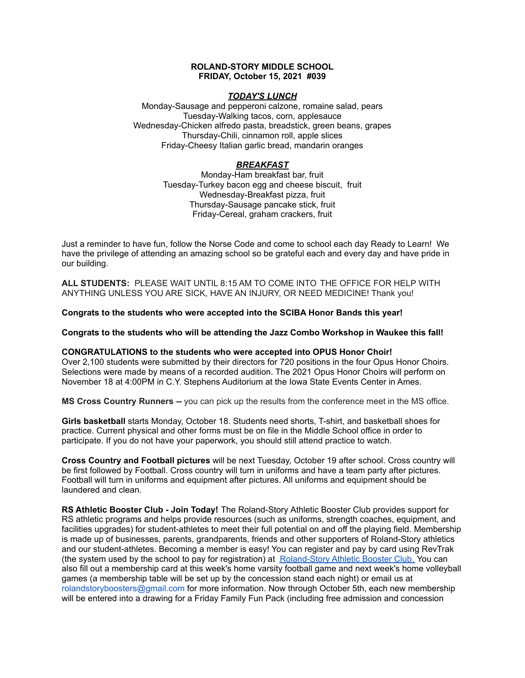## **ROLAND-STORY MIDDLE SCHOOL FRIDAY, October 15, 2021 #039**

## *TODAY'S LUNCH*

Monday-Sausage and pepperoni calzone, romaine salad, pears Tuesday-Walking tacos, corn, applesauce Wednesday-Chicken alfredo pasta, breadstick, green beans, grapes Thursday-Chili, cinnamon roll, apple slices Friday-Cheesy Italian garlic bread, mandarin oranges

# *BREAKFAST*

Monday-Ham breakfast bar, fruit Tuesday-Turkey bacon egg and cheese biscuit, fruit Wednesday-Breakfast pizza, fruit Thursday-Sausage pancake stick, fruit Friday-Cereal, graham crackers, fruit

Just a reminder to have fun, follow the Norse Code and come to school each day Ready to Learn! We have the privilege of attending an amazing school so be grateful each and every day and have pride in our building.

**ALL STUDENTS:** PLEASE WAIT UNTIL 8:15 AM TO COME INTO THE OFFICE FOR HELP WITH ANYTHING UNLESS YOU ARE SICK, HAVE AN INJURY, OR NEED MEDICINE! Thank you!

#### **Congrats to the students who were accepted into the SCIBA Honor Bands this year!**

**Congrats to the students who will be attending the Jazz Combo Workshop in Waukee this fall!**

**CONGRATULATIONS to the students who were accepted into OPUS Honor Choir!** Over 2,100 students were submitted by their directors for 720 positions in the four Opus Honor Choirs. Selections were made by means of a recorded audition. The 2021 Opus Honor Choirs will perform on November 18 at 4:00PM in C.Y. Stephens Auditorium at the Iowa State Events Center in Ames.

**MS Cross Country Runners --** you can pick up the results from the conference meet in the MS office.

**Girls basketball** starts Monday, October 18. Students need shorts, T-shirt, and basketball shoes for practice. Current physical and other forms must be on file in the Middle School office in order to participate. If you do not have your paperwork, you should still attend practice to watch.

**Cross Country and Football pictures** will be next Tuesday, October 19 after school. Cross country will be first followed by Football. Cross country will turn in uniforms and have a team party after pictures. Football will turn in uniforms and equipment after pictures. All uniforms and equipment should be laundered and clean.

**RS Athletic Booster Club - Join Today!** The Roland-Story Athletic Booster Club provides support for RS athletic programs and helps provide resources (such as uniforms, strength coaches, equipment, and facilities upgrades) for student-athletes to meet their full potential on and off the playing field. Membership is made up of businesses, parents, grandparents, friends and other supporters of Roland-Story athletics and our student-athletes. Becoming a member is easy! You can register and pay by card using RevTrak (the system used by the school to pay for registration) at [Roland-Story](https://rolandstory.revtrak.net/Roland-Story-Athletic-Booster-Club/) Athletic Booster Club. You can also fill out a membership card at this week's home varsity football game and next week's home volleyball games (a membership table will be set up by the concession stand each night) or email us at rolandstoryboosters@gmail.com for more information. Now through October 5th, each new membership will be entered into a drawing for a Friday Family Fun Pack (including free admission and concession